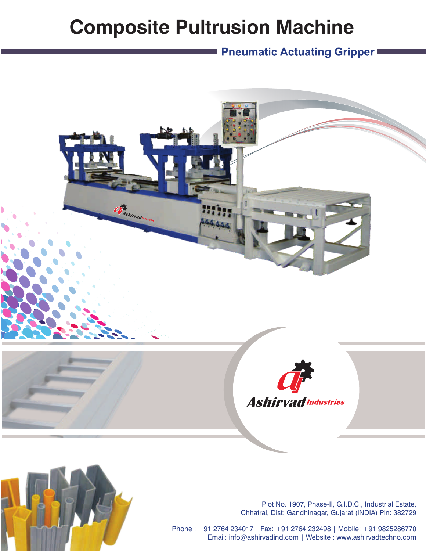## **Composite Pultrusion Machine**

J.

**Pneumatic Actuating Gripper!** 





Plot No. 1907, Phase-II, G.I.D.C., Industrial Estate, Chhatral, Dist: Gandhinagar, Gujarat (INDIA) Pin: 382729

Phone : +91 2764 234017 | Fax: +91 2764 232498 | Mobile: +91 9825286770 Email: info@ashirvadind.com | Website : www.ashirvadtechno.com